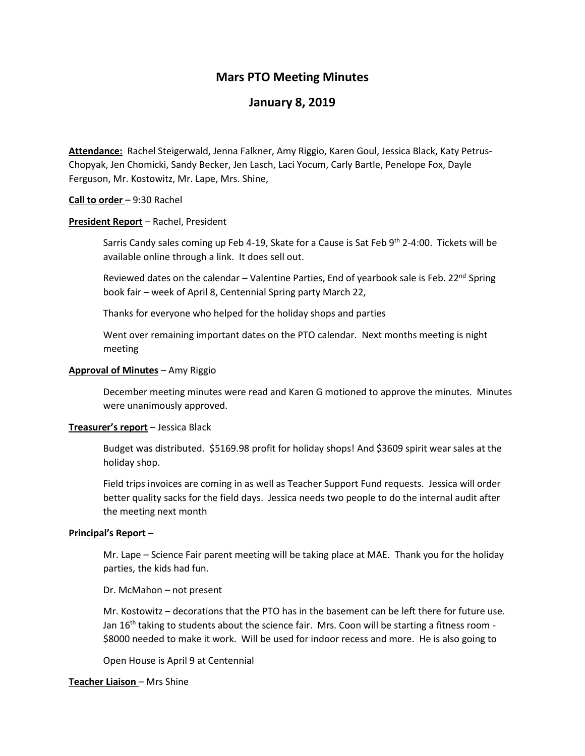# **Mars PTO Meeting Minutes**

# **January 8, 2019**

**Attendance:** Rachel Steigerwald, Jenna Falkner, Amy Riggio, Karen Goul, Jessica Black, Katy Petrus-Chopyak, Jen Chomicki, Sandy Becker, Jen Lasch, Laci Yocum, Carly Bartle, Penelope Fox, Dayle Ferguson, Mr. Kostowitz, Mr. Lape, Mrs. Shine,

### **Call to order** – 9:30 Rachel

### **President Report** – Rachel, President

Sarris Candy sales coming up Feb 4-19, Skate for a Cause is Sat Feb  $9<sup>th</sup>$  2-4:00. Tickets will be available online through a link. It does sell out.

Reviewed dates on the calendar  $-$  Valentine Parties, End of yearbook sale is Feb. 22<sup>nd</sup> Spring book fair – week of April 8, Centennial Spring party March 22,

Thanks for everyone who helped for the holiday shops and parties

Went over remaining important dates on the PTO calendar. Next months meeting is night meeting

## **Approval of Minutes** – Amy Riggio

December meeting minutes were read and Karen G motioned to approve the minutes. Minutes were unanimously approved.

### **Treasurer's report** – Jessica Black

Budget was distributed. \$5169.98 profit for holiday shops! And \$3609 spirit wear sales at the holiday shop.

Field trips invoices are coming in as well as Teacher Support Fund requests. Jessica will order better quality sacks for the field days. Jessica needs two people to do the internal audit after the meeting next month

# **Principal's Report** –

Mr. Lape – Science Fair parent meeting will be taking place at MAE. Thank you for the holiday parties, the kids had fun.

Dr. McMahon – not present

Mr. Kostowitz – decorations that the PTO has in the basement can be left there for future use. Jan  $16<sup>th</sup>$  taking to students about the science fair. Mrs. Coon will be starting a fitness room -\$8000 needed to make it work. Will be used for indoor recess and more. He is also going to

Open House is April 9 at Centennial

## **Teacher Liaison** – Mrs Shine